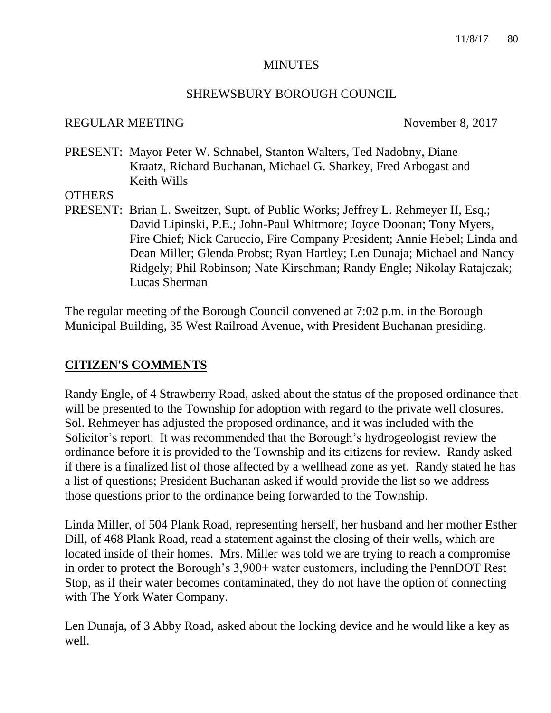#### **MINUTES**

#### SHREWSBURY BOROUGH COUNCIL

#### REGULAR MEETING November 8, 2017

PRESENT: Mayor Peter W. Schnabel, Stanton Walters, Ted Nadobny, Diane Kraatz, Richard Buchanan, Michael G. Sharkey, Fred Arbogast and Keith Wills

#### **OTHERS**

PRESENT: Brian L. Sweitzer, Supt. of Public Works; Jeffrey L. Rehmeyer II, Esq.; David Lipinski, P.E.; John-Paul Whitmore; Joyce Doonan; Tony Myers, Fire Chief; Nick Caruccio, Fire Company President; Annie Hebel; Linda and Dean Miller; Glenda Probst; Ryan Hartley; Len Dunaja; Michael and Nancy Ridgely; Phil Robinson; Nate Kirschman; Randy Engle; Nikolay Ratajczak; Lucas Sherman

The regular meeting of the Borough Council convened at 7:02 p.m. in the Borough Municipal Building, 35 West Railroad Avenue, with President Buchanan presiding.

### **CITIZEN'S COMMENTS**

Randy Engle, of 4 Strawberry Road, asked about the status of the proposed ordinance that will be presented to the Township for adoption with regard to the private well closures. Sol. Rehmeyer has adjusted the proposed ordinance, and it was included with the Solicitor's report. It was recommended that the Borough's hydrogeologist review the ordinance before it is provided to the Township and its citizens for review. Randy asked if there is a finalized list of those affected by a wellhead zone as yet. Randy stated he has a list of questions; President Buchanan asked if would provide the list so we address those questions prior to the ordinance being forwarded to the Township.

Linda Miller, of 504 Plank Road, representing herself, her husband and her mother Esther Dill, of 468 Plank Road, read a statement against the closing of their wells, which are located inside of their homes. Mrs. Miller was told we are trying to reach a compromise in order to protect the Borough's 3,900+ water customers, including the PennDOT Rest Stop, as if their water becomes contaminated, they do not have the option of connecting with The York Water Company.

Len Dunaja, of 3 Abby Road, asked about the locking device and he would like a key as well.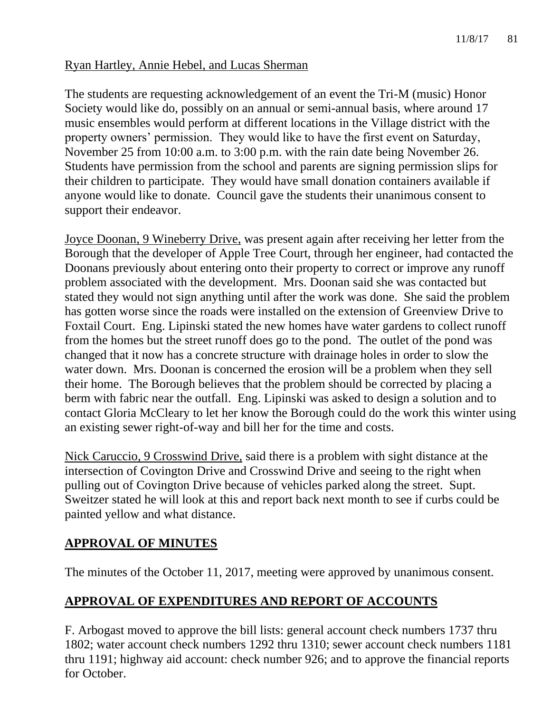## Ryan Hartley, Annie Hebel, and Lucas Sherman

The students are requesting acknowledgement of an event the Tri-M (music) Honor Society would like do, possibly on an annual or semi-annual basis, where around 17 music ensembles would perform at different locations in the Village district with the property owners' permission. They would like to have the first event on Saturday, November 25 from 10:00 a.m. to 3:00 p.m. with the rain date being November 26. Students have permission from the school and parents are signing permission slips for their children to participate. They would have small donation containers available if anyone would like to donate. Council gave the students their unanimous consent to support their endeavor.

Joyce Doonan, 9 Wineberry Drive, was present again after receiving her letter from the Borough that the developer of Apple Tree Court, through her engineer, had contacted the Doonans previously about entering onto their property to correct or improve any runoff problem associated with the development. Mrs. Doonan said she was contacted but stated they would not sign anything until after the work was done. She said the problem has gotten worse since the roads were installed on the extension of Greenview Drive to Foxtail Court. Eng. Lipinski stated the new homes have water gardens to collect runoff from the homes but the street runoff does go to the pond. The outlet of the pond was changed that it now has a concrete structure with drainage holes in order to slow the water down. Mrs. Doonan is concerned the erosion will be a problem when they sell their home. The Borough believes that the problem should be corrected by placing a berm with fabric near the outfall. Eng. Lipinski was asked to design a solution and to contact Gloria McCleary to let her know the Borough could do the work this winter using an existing sewer right-of-way and bill her for the time and costs.

Nick Caruccio, 9 Crosswind Drive, said there is a problem with sight distance at the intersection of Covington Drive and Crosswind Drive and seeing to the right when pulling out of Covington Drive because of vehicles parked along the street. Supt. Sweitzer stated he will look at this and report back next month to see if curbs could be painted yellow and what distance.

## **APPROVAL OF MINUTES**

The minutes of the October 11, 2017, meeting were approved by unanimous consent.

# **APPROVAL OF EXPENDITURES AND REPORT OF ACCOUNTS**

F. Arbogast moved to approve the bill lists: general account check numbers 1737 thru 1802; water account check numbers 1292 thru 1310; sewer account check numbers 1181 thru 1191; highway aid account: check number 926; and to approve the financial reports for October.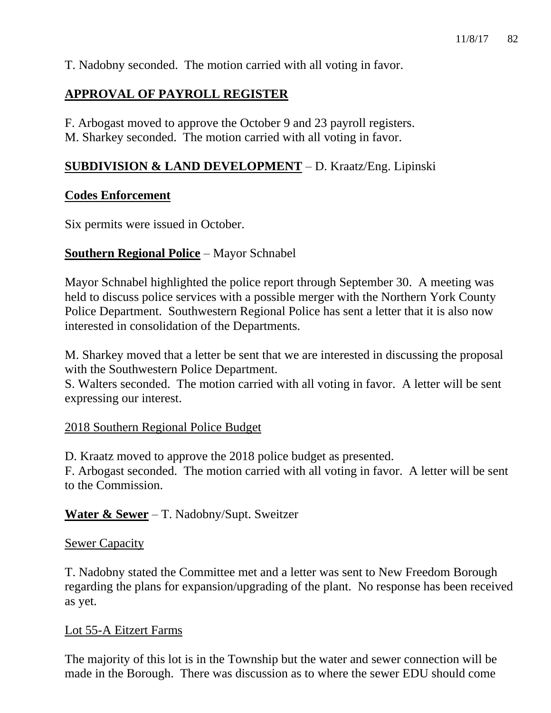T. Nadobny seconded. The motion carried with all voting in favor.

## **APPROVAL OF PAYROLL REGISTER**

F. Arbogast moved to approve the October 9 and 23 payroll registers. M. Sharkey seconded. The motion carried with all voting in favor.

### **SUBDIVISION & LAND DEVELOPMENT** – D. Kraatz/Eng. Lipinski

#### **Codes Enforcement**

Six permits were issued in October.

### **Southern Regional Police** – Mayor Schnabel

Mayor Schnabel highlighted the police report through September 30. A meeting was held to discuss police services with a possible merger with the Northern York County Police Department. Southwestern Regional Police has sent a letter that it is also now interested in consolidation of the Departments.

M. Sharkey moved that a letter be sent that we are interested in discussing the proposal with the Southwestern Police Department.

S. Walters seconded. The motion carried with all voting in favor. A letter will be sent expressing our interest.

### 2018 Southern Regional Police Budget

D. Kraatz moved to approve the 2018 police budget as presented.

F. Arbogast seconded. The motion carried with all voting in favor. A letter will be sent to the Commission.

### **Water & Sewer** – T. Nadobny/Supt. Sweitzer

#### **Sewer Capacity**

T. Nadobny stated the Committee met and a letter was sent to New Freedom Borough regarding the plans for expansion/upgrading of the plant. No response has been received as yet.

#### Lot 55-A Eitzert Farms

The majority of this lot is in the Township but the water and sewer connection will be made in the Borough. There was discussion as to where the sewer EDU should come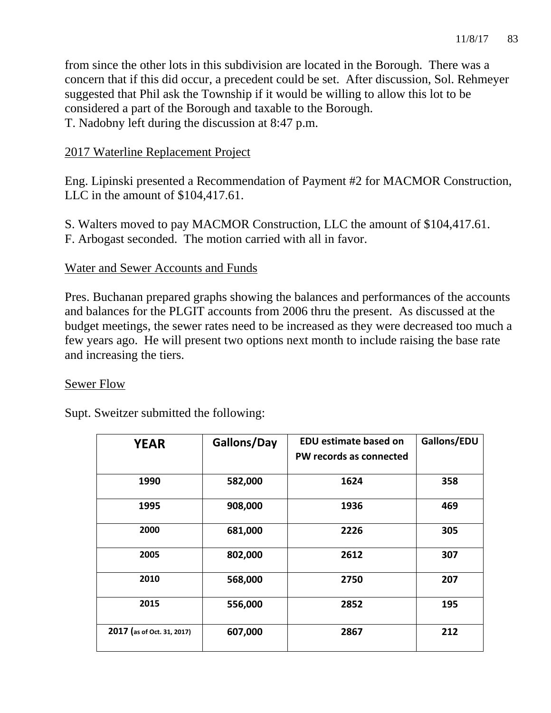from since the other lots in this subdivision are located in the Borough. There was a concern that if this did occur, a precedent could be set. After discussion, Sol. Rehmeyer suggested that Phil ask the Township if it would be willing to allow this lot to be considered a part of the Borough and taxable to the Borough. T. Nadobny left during the discussion at 8:47 p.m.

## 2017 Waterline Replacement Project

Eng. Lipinski presented a Recommendation of Payment #2 for MACMOR Construction, LLC in the amount of \$104,417.61.

S. Walters moved to pay MACMOR Construction, LLC the amount of \$104,417.61. F. Arbogast seconded. The motion carried with all in favor.

#### Water and Sewer Accounts and Funds

Pres. Buchanan prepared graphs showing the balances and performances of the accounts and balances for the PLGIT accounts from 2006 thru the present. As discussed at the budget meetings, the sewer rates need to be increased as they were decreased too much a few years ago. He will present two options next month to include raising the base rate and increasing the tiers.

### Sewer Flow

Supt. Sweitzer submitted the following:

| <b>YEAR</b>                | Gallons/Day | <b>EDU estimate based on</b> | Gallons/EDU |
|----------------------------|-------------|------------------------------|-------------|
|                            |             | PW records as connected      |             |
| 1990                       | 582,000     | 1624                         | 358         |
| 1995                       | 908,000     | 1936                         | 469         |
| 2000                       | 681,000     | 2226                         | 305         |
| 2005                       | 802,000     | 2612                         | 307         |
| 2010                       | 568,000     | 2750                         | 207         |
| 2015                       | 556,000     | 2852                         | 195         |
| 2017 (as of Oct. 31, 2017) | 607,000     | 2867                         | 212         |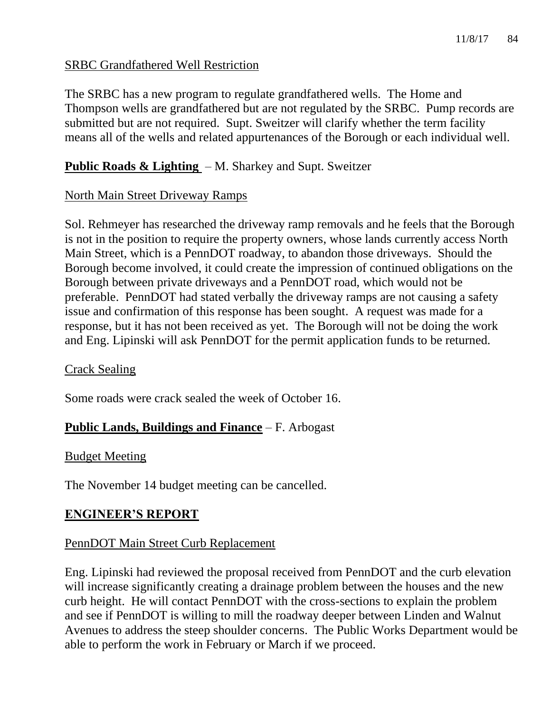### SRBC Grandfathered Well Restriction

The SRBC has a new program to regulate grandfathered wells. The Home and Thompson wells are grandfathered but are not regulated by the SRBC. Pump records are submitted but are not required. Supt. Sweitzer will clarify whether the term facility means all of the wells and related appurtenances of the Borough or each individual well.

## **Public Roads & Lighting** – M. Sharkey and Supt. Sweitzer

### North Main Street Driveway Ramps

Sol. Rehmeyer has researched the driveway ramp removals and he feels that the Borough is not in the position to require the property owners, whose lands currently access North Main Street, which is a PennDOT roadway, to abandon those driveways. Should the Borough become involved, it could create the impression of continued obligations on the Borough between private driveways and a PennDOT road, which would not be preferable. PennDOT had stated verbally the driveway ramps are not causing a safety issue and confirmation of this response has been sought. A request was made for a response, but it has not been received as yet. The Borough will not be doing the work and Eng. Lipinski will ask PennDOT for the permit application funds to be returned.

#### Crack Sealing

Some roads were crack sealed the week of October 16.

### **Public Lands, Buildings and Finance** – F. Arbogast

#### Budget Meeting

The November 14 budget meeting can be cancelled.

### **ENGINEER'S REPORT**

#### PennDOT Main Street Curb Replacement

Eng. Lipinski had reviewed the proposal received from PennDOT and the curb elevation will increase significantly creating a drainage problem between the houses and the new curb height. He will contact PennDOT with the cross-sections to explain the problem and see if PennDOT is willing to mill the roadway deeper between Linden and Walnut Avenues to address the steep shoulder concerns. The Public Works Department would be able to perform the work in February or March if we proceed.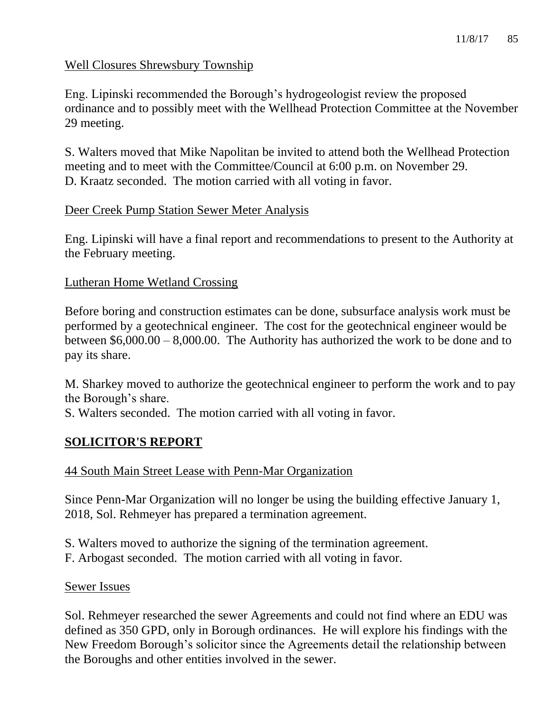## Well Closures Shrewsbury Township

Eng. Lipinski recommended the Borough's hydrogeologist review the proposed ordinance and to possibly meet with the Wellhead Protection Committee at the November 29 meeting.

S. Walters moved that Mike Napolitan be invited to attend both the Wellhead Protection meeting and to meet with the Committee/Council at 6:00 p.m. on November 29. D. Kraatz seconded. The motion carried with all voting in favor.

### Deer Creek Pump Station Sewer Meter Analysis

Eng. Lipinski will have a final report and recommendations to present to the Authority at the February meeting.

### Lutheran Home Wetland Crossing

Before boring and construction estimates can be done, subsurface analysis work must be performed by a geotechnical engineer. The cost for the geotechnical engineer would be between \$6,000.00 – 8,000.00. The Authority has authorized the work to be done and to pay its share.

M. Sharkey moved to authorize the geotechnical engineer to perform the work and to pay the Borough's share.

S. Walters seconded. The motion carried with all voting in favor.

## **SOLICITOR'S REPORT**

## 44 South Main Street Lease with Penn-Mar Organization

Since Penn-Mar Organization will no longer be using the building effective January 1, 2018, Sol. Rehmeyer has prepared a termination agreement.

- S. Walters moved to authorize the signing of the termination agreement.
- F. Arbogast seconded. The motion carried with all voting in favor.

### Sewer Issues

Sol. Rehmeyer researched the sewer Agreements and could not find where an EDU was defined as 350 GPD, only in Borough ordinances. He will explore his findings with the New Freedom Borough's solicitor since the Agreements detail the relationship between the Boroughs and other entities involved in the sewer.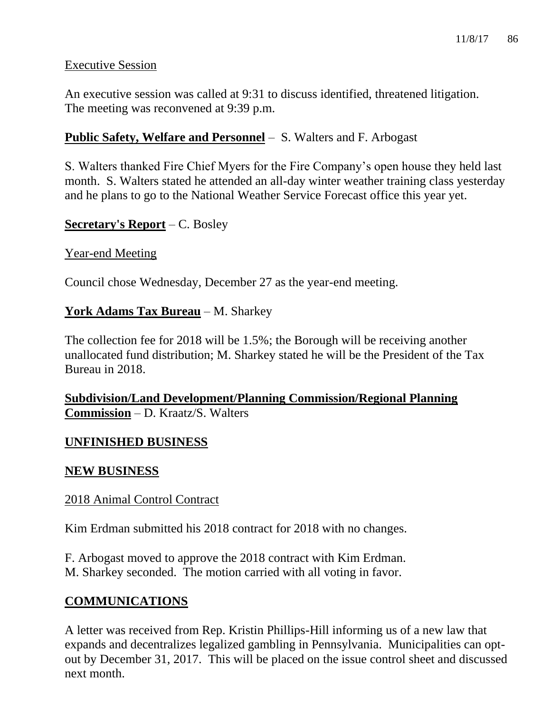### Executive Session

An executive session was called at 9:31 to discuss identified, threatened litigation. The meeting was reconvened at 9:39 p.m.

## **Public Safety, Welfare and Personnel** – S. Walters and F. Arbogast

S. Walters thanked Fire Chief Myers for the Fire Company's open house they held last month. S. Walters stated he attended an all-day winter weather training class yesterday and he plans to go to the National Weather Service Forecast office this year yet.

### **Secretary's Report** – C. Bosley

### Year-end Meeting

Council chose Wednesday, December 27 as the year-end meeting.

## **York Adams Tax Bureau** – M. Sharkey

The collection fee for 2018 will be 1.5%; the Borough will be receiving another unallocated fund distribution; M. Sharkey stated he will be the President of the Tax Bureau in 2018.

**Subdivision/Land Development/Planning Commission/Regional Planning Commission** – D. Kraatz/S. Walters

## **UNFINISHED BUSINESS**

### **NEW BUSINESS**

### 2018 Animal Control Contract

Kim Erdman submitted his 2018 contract for 2018 with no changes.

F. Arbogast moved to approve the 2018 contract with Kim Erdman. M. Sharkey seconded. The motion carried with all voting in favor.

## **COMMUNICATIONS**

A letter was received from Rep. Kristin Phillips-Hill informing us of a new law that expands and decentralizes legalized gambling in Pennsylvania. Municipalities can optout by December 31, 2017. This will be placed on the issue control sheet and discussed next month.